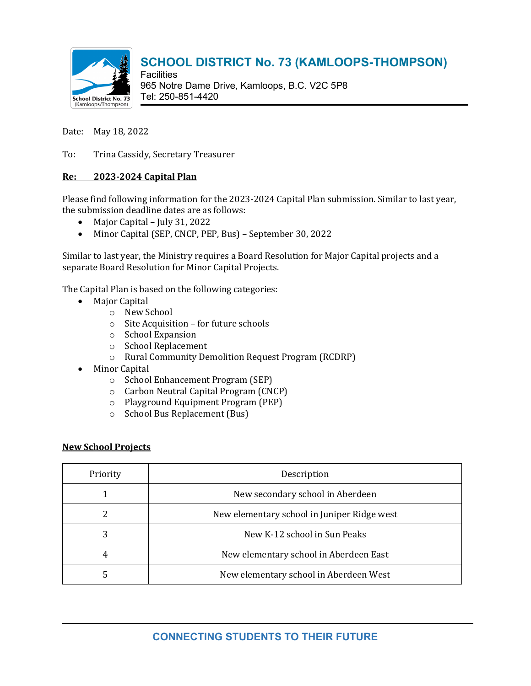

**Facilities** 965 Notre Dame Drive, Kamloops, B.C. V2C 5P8 Tel: 250-851-4420

Date: May 18, 2022

To: Trina Cassidy, Secretary Treasurer

#### **Re: 2023-2024 Capital Plan**

Please find following information for the 2023-2024 Capital Plan submission. Similar to last year, the submission deadline dates are as follows:

- Major Capital July 31, 2022
- Minor Capital (SEP, CNCP, PEP, Bus) September 30, 2022

Similar to last year, the Ministry requires a Board Resolution for Major Capital projects and a separate Board Resolution for Minor Capital Projects.

The Capital Plan is based on the following categories:

- Major Capital
	- o New School
	- o Site Acquisition for future schools
	- o School Expansion
	- o School Replacement
	- o Rural Community Demolition Request Program (RCDRP)
- Minor Capital
	- o School Enhancement Program (SEP)
	- o Carbon Neutral Capital Program (CNCP)
	- o Playground Equipment Program (PEP)
	- o School Bus Replacement (Bus)

#### **New School Projects**

| Priority | Description                                 |
|----------|---------------------------------------------|
|          | New secondary school in Aberdeen            |
|          | New elementary school in Juniper Ridge west |
| 3        | New K-12 school in Sun Peaks                |
| 4        | New elementary school in Aberdeen East      |
|          | New elementary school in Aberdeen West      |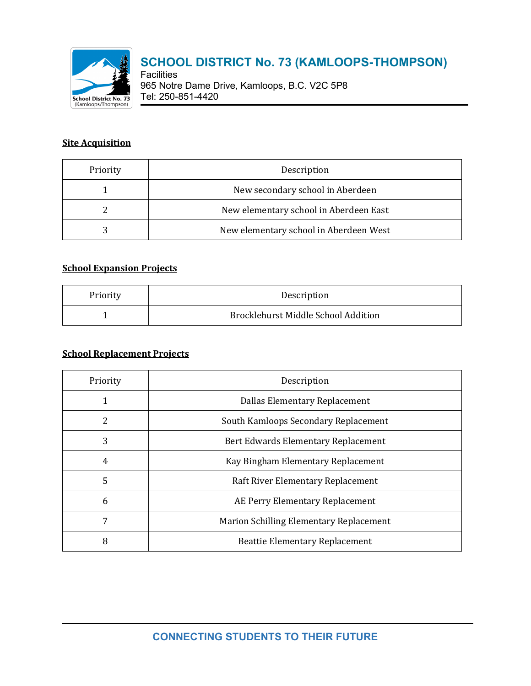

**Facilities** 965 Notre Dame Drive, Kamloops, B.C. V2C 5P8 Tel: 250-851-4420

### **Site Acquisition**

| Priority | Description                            |
|----------|----------------------------------------|
|          | New secondary school in Aberdeen       |
|          | New elementary school in Aberdeen East |
|          | New elementary school in Aberdeen West |

#### **School Expansion Projects**

| Priority | Description                                |
|----------|--------------------------------------------|
|          | <b>Brocklehurst Middle School Addition</b> |

#### **School Replacement Projects**

| Priority | Description                             |
|----------|-----------------------------------------|
|          | Dallas Elementary Replacement           |
| 2        | South Kamloops Secondary Replacement    |
| 3        | Bert Edwards Elementary Replacement     |
| 4        | Kay Bingham Elementary Replacement      |
| 5        | Raft River Elementary Replacement       |
| 6        | AE Perry Elementary Replacement         |
| 7        | Marion Schilling Elementary Replacement |
| 8        | <b>Beattie Elementary Replacement</b>   |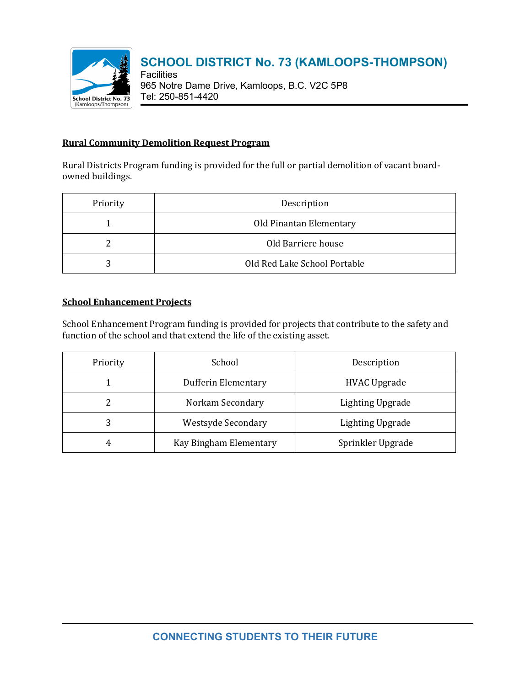

**Facilities** 965 Notre Dame Drive, Kamloops, B.C. V2C 5P8 Tel: 250-851-4420

#### **Rural Community Demolition Request Program**

Rural Districts Program funding is provided for the full or partial demolition of vacant boardowned buildings.

| Priority | Description                  |
|----------|------------------------------|
|          | Old Pinantan Elementary      |
|          | Old Barriere house           |
| 3        | Old Red Lake School Portable |

### **School Enhancement Projects**

School Enhancement Program funding is provided for projects that contribute to the safety and function of the school and that extend the life of the existing asset.

| Priority | School                    | Description             |
|----------|---------------------------|-------------------------|
|          | Dufferin Elementary       | <b>HVAC Upgrade</b>     |
|          | Norkam Secondary          | <b>Lighting Upgrade</b> |
| 3        | <b>Westsyde Secondary</b> | <b>Lighting Upgrade</b> |
| 4        | Kay Bingham Elementary    | Sprinkler Upgrade       |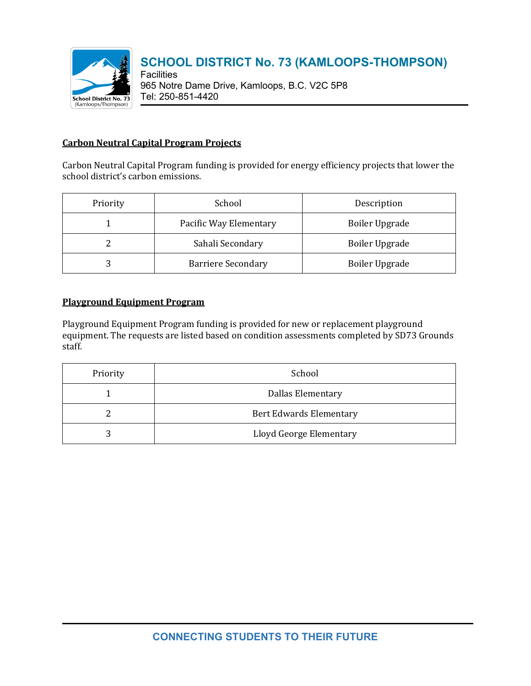

**Facilities** 965 Notre Dame Drive, Kamloops, B.C. V2C 5P8 Tel: 250-851-4420

#### **Carbon Neutral Capital Program Projects**

Carbon Neutral Capital Program funding is provided for energy efficiency projects that lower the school district's carbon emissions.

| Priority | School                    | Description           |
|----------|---------------------------|-----------------------|
|          | Pacific Way Elementary    | <b>Boiler Upgrade</b> |
|          | Sahali Secondary          | <b>Boiler Upgrade</b> |
|          | <b>Barriere Secondary</b> | <b>Boiler Upgrade</b> |

#### **Playground Equipment Program**

Playground Equipment Program funding is provided for new or replacement playground equipment. The requests are listed based on condition assessments completed by SD73 Grounds staff.

| Priority | School                         |
|----------|--------------------------------|
|          | <b>Dallas Elementary</b>       |
|          | <b>Bert Edwards Elementary</b> |
|          | Lloyd George Elementary        |